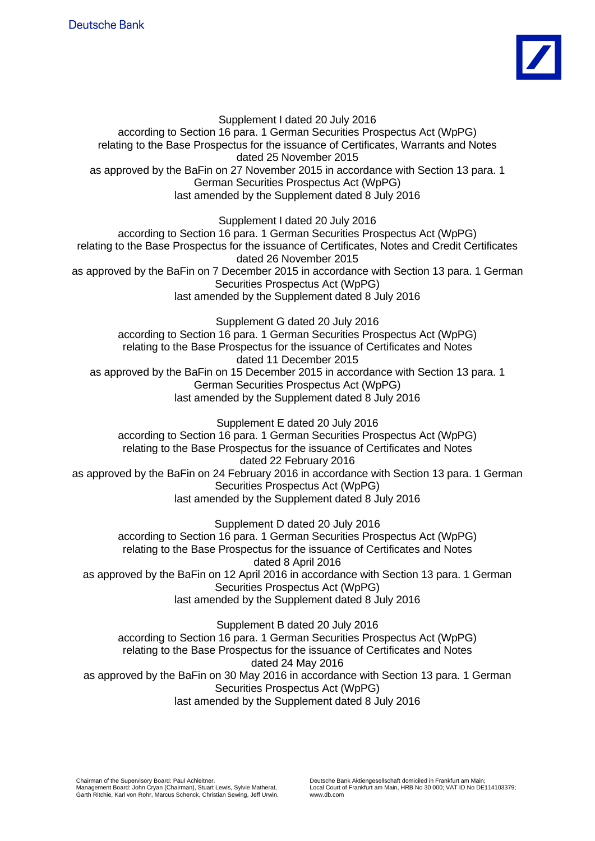

Supplement I dated 20 July 2016 according to Section 16 para. 1 German Securities Prospectus Act (WpPG) relating to the Base Prospectus for the issuance of Certificates, Warrants and Notes dated 25 November 2015 as approved by the BaFin on 27 November 2015 in accordance with Section 13 para. 1 German Securities Prospectus Act (WpPG) last amended by the Supplement dated 8 July 2016

Supplement I dated 20 July 2016

according to Section 16 para. 1 German Securities Prospectus Act (WpPG) relating to the Base Prospectus for the issuance of Certificates, Notes and Credit Certificates dated 26 November 2015 as approved by the BaFin on 7 December 2015 in accordance with Section 13 para. 1 German Securities Prospectus Act (WpPG) last amended by the Supplement dated 8 July 2016

Supplement G dated 20 July 2016 according to Section 16 para. 1 German Securities Prospectus Act (WpPG) relating to the Base Prospectus for the issuance of Certificates and Notes dated 11 December 2015 as approved by the BaFin on 15 December 2015 in accordance with Section 13 para. 1 German Securities Prospectus Act (WpPG) last amended by the Supplement dated 8 July 2016

Supplement E dated 20 July 2016 according to Section 16 para. 1 German Securities Prospectus Act (WpPG) relating to the Base Prospectus for the issuance of Certificates and Notes dated 22 February 2016 as approved by the BaFin on 24 February 2016 in accordance with Section 13 para. 1 German Securities Prospectus Act (WpPG) last amended by the Supplement dated 8 July 2016

Supplement D dated 20 July 2016 according to Section 16 para. 1 German Securities Prospectus Act (WpPG) relating to the Base Prospectus for the issuance of Certificates and Notes dated 8 April 2016 as approved by the BaFin on 12 April 2016 in accordance with Section 13 para. 1 German Securities Prospectus Act (WpPG) last amended by the Supplement dated 8 July 2016

Supplement B dated 20 July 2016 according to Section 16 para. 1 German Securities Prospectus Act (WpPG) relating to the Base Prospectus for the issuance of Certificates and Notes dated 24 May 2016 as approved by the BaFin on 30 May 2016 in accordance with Section 13 para. 1 German Securities Prospectus Act (WpPG) last amended by the Supplement dated 8 July 2016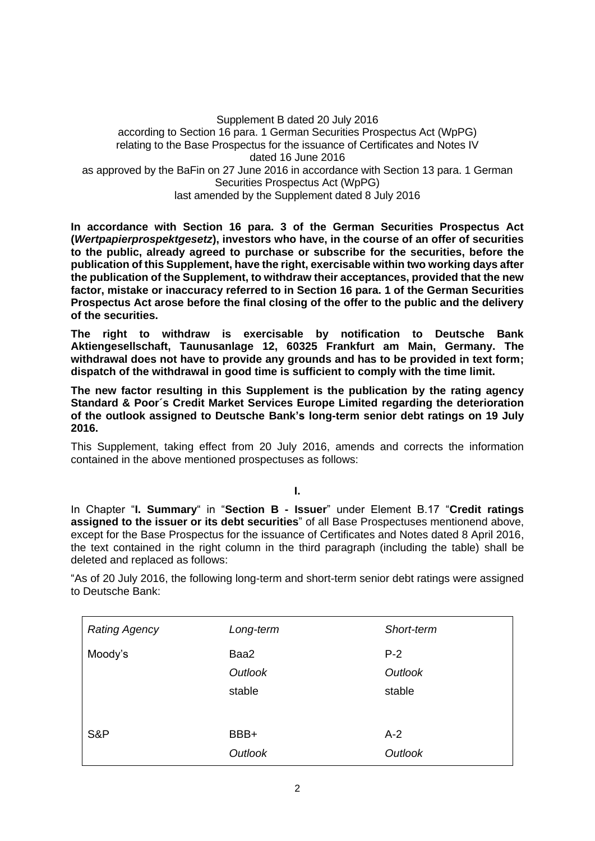Supplement B dated 20 July 2016 according to Section 16 para. 1 German Securities Prospectus Act (WpPG) relating to the Base Prospectus for the issuance of Certificates and Notes IV dated 16 June 2016 as approved by the BaFin on 27 June 2016 in accordance with Section 13 para. 1 German Securities Prospectus Act (WpPG) last amended by the Supplement dated 8 July 2016

**In accordance with Section 16 para. 3 of the German Securities Prospectus Act (***Wertpapierprospektgesetz***), investors who have, in the course of an offer of securities to the public, already agreed to purchase or subscribe for the securities, before the publication of this Supplement, have the right, exercisable within two working days after the publication of the Supplement, to withdraw their acceptances, provided that the new factor, mistake or inaccuracy referred to in Section 16 para. 1 of the German Securities Prospectus Act arose before the final closing of the offer to the public and the delivery of the securities.**

**The right to withdraw is exercisable by notification to Deutsche Bank Aktiengesellschaft, Taunusanlage 12, 60325 Frankfurt am Main, Germany. The withdrawal does not have to provide any grounds and has to be provided in text form; dispatch of the withdrawal in good time is sufficient to comply with the time limit.**

**The new factor resulting in this Supplement is the publication by the rating agency Standard & Poor´s Credit Market Services Europe Limited regarding the deterioration of the outlook assigned to Deutsche Bank's long-term senior debt ratings on 19 July 2016.** 

This Supplement, taking effect from 20 July 2016, amends and corrects the information contained in the above mentioned prospectuses as follows:

**I.**

In Chapter "**I. Summary**" in "**Section B - Issuer**" under Element B.17 "**Credit ratings assigned to the issuer or its debt securities**" of all Base Prospectuses mentionend above, except for the Base Prospectus for the issuance of Certificates and Notes dated 8 April 2016, the text contained in the right column in the third paragraph (including the table) shall be deleted and replaced as follows:

"As of 20 July 2016, the following long-term and short-term senior debt ratings were assigned to Deutsche Bank:

| <b>Rating Agency</b> | Long-term                 | Short-term                 |
|----------------------|---------------------------|----------------------------|
| Moody's              | Baa2<br>Outlook<br>stable | $P-2$<br>Outlook<br>stable |
| S&P                  | BBB+<br>Outlook           | $A-2$<br>Outlook           |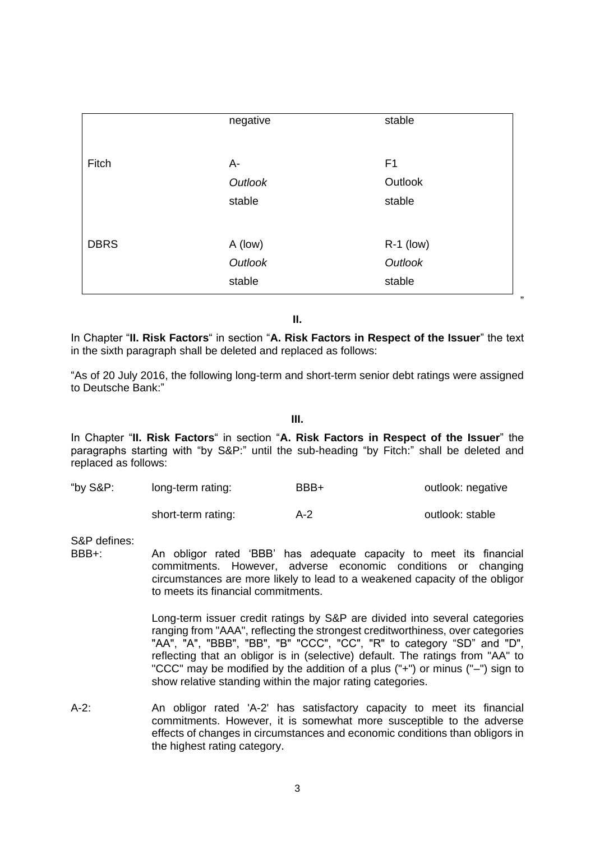|             | negative | stable         |  |
|-------------|----------|----------------|--|
| Fitch       | A-       | F <sub>1</sub> |  |
|             | Outlook  | Outlook        |  |
|             | stable   | stable         |  |
|             |          |                |  |
| <b>DBRS</b> | A (low)  | $R-1$ (low)    |  |
|             | Outlook  | Outlook        |  |
|             | stable   | stable         |  |

**II.**

In Chapter "**II. Risk Factors**" in section "**A. Risk Factors in Respect of the Issuer**" the text in the sixth paragraph shall be deleted and replaced as follows:

"As of 20 July 2016, the following long-term and short-term senior debt ratings were assigned to Deutsche Bank:"

**III.**

In Chapter "**II. Risk Factors**" in section "**A. Risk Factors in Respect of the Issuer**" the paragraphs starting with "by S&P:" until the sub-heading "by Fitch:" shall be deleted and replaced as follows:

| "by S&P: | long-term rating: | BBB+ | outlook: negative |
|----------|-------------------|------|-------------------|
|----------|-------------------|------|-------------------|

short-term rating:  $A-2$  outlook: stable

S&P defines:

BBB+: An obligor rated 'BBB' has adequate capacity to meet its financial commitments. However, adverse economic conditions or changing circumstances are more likely to lead to a weakened capacity of the obligor to meets its financial commitments.

> Long-term issuer credit ratings by S&P are divided into several categories ranging from "AAA", reflecting the strongest creditworthiness, over categories "AA", "A", "BBB", "BB", "B" "CCC", "CC", "R" to category "SD" and "D", reflecting that an obligor is in (selective) default. The ratings from "AA" to "CCC" may be modified by the addition of a plus ("+") or minus ("–") sign to show relative standing within the major rating categories.

A-2: An obligor rated 'A-2' has satisfactory capacity to meet its financial commitments. However, it is somewhat more susceptible to the adverse effects of changes in circumstances and economic conditions than obligors in the highest rating category.